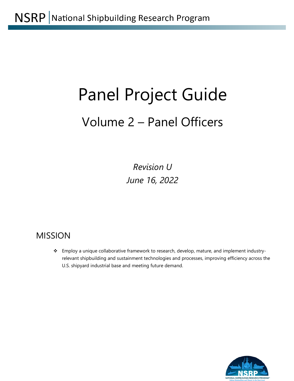# Panel Project Guide Volume 2 – Panel Officers

*Revision U June 16, 2022*

# MISSION

\* Employ a unique collaborative framework to research, develop, mature, and implement industryrelevant shipbuilding and sustainment technologies and processes, improving efficiency across the U.S. shipyard industrial base and meeting future demand.

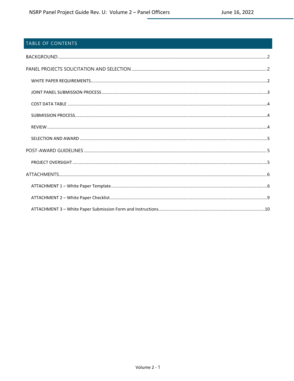# TABLE OF CONTENTS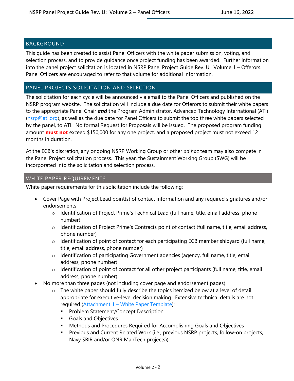# <span id="page-2-0"></span>**BACKGROUND**

This guide has been created to assist Panel Officers with the white paper submission, voting, and selection process, and to provide guidance once project funding has been awarded. Further information into the panel project solicitation is located in NSRP Panel Project Guide Rev. U: Volume 1 – Offerors. Panel Officers are encouraged to refer to that volume for additional information.

#### <span id="page-2-1"></span>PANEL PROJECTS SOLICITATION AND SELECTION

The solicitation for each cycle will be announced via email to the Panel Officers and published on the NSRP program website. The solicitation will include a due date for Offerors to submit their white papers to the appropriate Panel Chair *and* the Program Administrator, Advanced Technology International (ATI)  $(nsrp@ati.org)$ , as well as the due date for Panel Officers to submit the top three white papers selected by the panel, to ATI. No formal Request for Proposals will be issued. The proposed program funding amount **must not** exceed \$150,000 for any one project, and a proposed project must not exceed 12 months in duration.

At the ECB's discretion, any ongoing NSRP Working Group or other *ad hoc* team may also compete in the Panel Project solicitation process. This year, the Sustainment Working Group (SWG) will be incorporated into the solicitation and selection process.

#### <span id="page-2-2"></span>WHITE PAPER REQUIREMENTS

White paper requirements for this solicitation include the following:

- Cover Page with Project Lead point(s) of contact information and any required signatures and/or endorsements
	- o Identification of Project Prime's Technical Lead (full name, title, email address, phone number)
	- $\circ$  Identification of Project Prime's Contracts point of contact (full name, title, email address, phone number)
	- o Identification of point of contact for each participating ECB member shipyard (full name, title, email address, phone number)
	- o Identification of participating Government agencies (agency, full name, title, email address, phone number)
	- o Identification of point of contact for all other project participants (full name, title, email address, phone number)
- No more than three pages (not including cover page and endorsement pages)
	- The white paper should fully describe the topics itemized below at a level of detail appropriate for executive-level decision making. Extensive technical details are not required [\(Attachment 1](#page-6-1) – White Paper Template):
		- **Problem Statement/Concept Description**
		- Goals and Objectives
		- Methods and Procedures Required for Accomplishing Goals and Objectives
		- **Previous and Current Related Work (i.e., previous NSRP projects, follow-on projects,** Navy SBIR and/or ONR ManTech projects))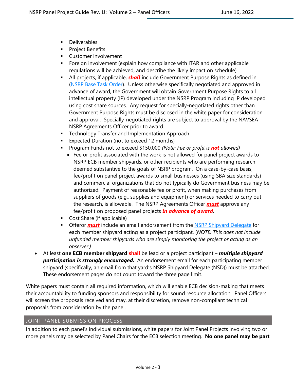- **Deliverables**
- **Project Benefits**
- **Customer Involvement**
- **Fightal** Foreign involvement (explain how compliance with ITAR and other applicable regulations will be achieved, and describe the likely impact on schedule)
- All projects, if applicable, *shall* include Government Purpose Rights as defined in [\(NSRP Base Task Order\)](https://www.nsrp.org/wp-content/uploads/2019/01/Base-TOA_V3.docx). Unless otherwise specifically negotiated and approved in advance of award, the Government will obtain Government Purpose Rights to all intellectual property (IP) developed under the NSRP Program including IP developed using cost share sources. Any request for specially-negotiated rights other than Government Purpose Rights must be disclosed in the white paper for consideration and approval. Specially-negotiated rights are subject to approval by the NAVSEA NSRP Agreements Officer prior to award.
- **F** Technology Transfer and Implementation Approach
- **Expected Duration (not to exceed 12 months)**
- Program Funds not to exceed \$150,000 *(Note: Fee or profit is not allowed)*
	- Fee or profit associated with the work is not allowed for panel project awards to NSRP ECB member shipyards, or other recipients who are performing research deemed substantive to the goals of NSRP program. On a case-by-case basis, fee/profit on panel project awards to small businesses (using SBA size standards) and commercial organizations that do not typically do Government business may be authorized. Payment of reasonable fee or profit, when making purchases from suppliers of goods (e.g., supplies and equipment) or services needed to carry out the research, is allowable. The NSRP Agreements Officer *must* approve any fee/profit on proposed panel projects *in advance of award*.
- **Cost Share (if applicable)**
- **The Strate of the Strate of the Strate in Analysis 1** Offeror **must include the Strate of Strate and Strate for** each member shipyard acting as a project participant. (*NOTE: This does not include unfunded member shipyards who are simply monitoring the project or acting as an observer.)*
- At least **one ECB member shipyard shall** be lead or a project participant *multiple shipyard participation is strongly encouraged.* An endorsement email for each participating member shipyard (specifically, an email from that yard's NSRP Shipyard Delegate (NSD)) must be attached. These endorsement pages do not count toward the three page limit.

White papers must contain all required information, which will enable ECB decision-making that meets their accountability to funding sponsors and responsibility for sound resource allocation. Panel Officers will screen the proposals received and may, at their discretion, remove non-compliant technical proposals from consideration by the panel.

#### <span id="page-3-0"></span>JOINT PANEL SUBMISSION PROCESS

In addition to each panel's individual submissions, white papers for Joint Panel Projects involving two or more panels may be selected by Panel Chairs for the ECB selection meeting. **No one panel may be part**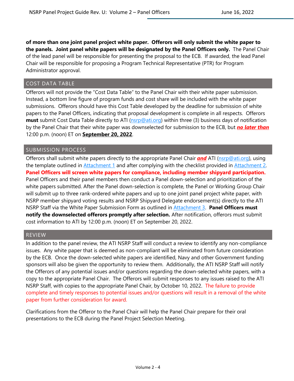**of more than one joint panel project white paper. Offerors will only submit the white paper to the panels. Joint panel white papers will be designated by the Panel Officers only.** The Panel Chair of the lead panel will be responsible for presenting the proposal to the ECB. If awarded, the lead Panel Chair will be responsible for proposing a Program Technical Representative (PTR) for Program Administrator approval.

#### <span id="page-4-0"></span>COST DATA TABLE

Offerors will not provide the "Cost Data Table" to the Panel Chair with their white paper submission. Instead, a bottom line figure of program funds and cost share will be included with the white paper submissions. Offerors should have this Cost Table developed by the deadline for submission of white papers to the Panel Officers, indicating that proposal development is complete in all respects. Offerors **must** submit Cost Data Table directly to ATI [\(nsrp@ati.org\)](mailto:nsrp@ati.org?subject=NSRP%20White%20Paper%20-%20Cost%20Data%20Table) within three (3) business days of notification by the Panel Chair that their white paper was downselected for submission to the ECB, but *no later than* 12:00 p.m. (noon) ET on **September 20, 2022**.

#### <span id="page-4-1"></span>SUBMISSION PROCESS

Offerors shall submit white papers directly to the appropriate Panel Chair *and* ATI [\(nsrp@ati.org\)](mailto:nsrp@ati.org?subject=NSRP%20Panel%20Project%20White%20Paper%20Submission), using the template outlined in [Attachment 1](#page-6-1) and after complying with the checklist provided in [Attachment 2.](#page-9-0) **Panel Officers will screen white papers for compliance, including member shipyard participation.**  Panel Officers and their panel members then conduct a Panel down-selection and prioritization of the white papers submitted. After the Panel down-selection is complete, the Panel or Working Group Chair will submit up to three rank-ordered white papers and up to one joint panel project white paper, with NSRP member shipyard voting results and NSRP Shipyard Delegate endorsement(s) directly to the ATI NSRP Staff via the White Paper Submission Form as outlined in [Attachment 3.](#page-10-0) **Panel Officers must notify the downselected offerors promptly after selection.** After notification, offerors must submit cost information to ATI by 12:00 p.m. (noon) ET on September 20, 2022.

#### <span id="page-4-2"></span>REVIEW

In addition to the panel review, the ATI NSRP Staff will conduct a review to identify any non-compliance issues. Any white paper that is deemed as non-compliant will be eliminated from future consideration by the ECB. Once the down-selected white papers are identified, Navy and other Government funding sponsors will also be given the opportunity to review them. Additionally, the ATI NSRP Staff will notify the Offerors of any potential issues and/or questions regarding the down-selected white papers, with a copy to the appropriate Panel Chair. The Offerors will submit responses to any issues raised to the ATI NSRP Staff, with copies to the appropriate Panel Chair, by October 10, 2022. The failure to provide complete and timely responses to potential issues and/or questions will result in a removal of the white paper from further consideration for award.

<span id="page-4-3"></span>Clarifications from the Offeror to the Panel Chair will help the Panel Chair prepare for their oral presentations to the ECB during the Panel Project Selection Meeting.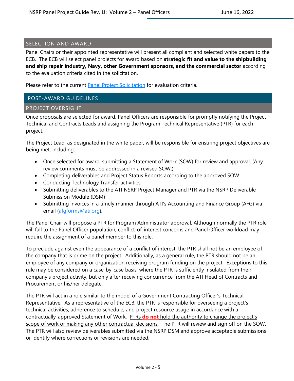#### SELECTION AND AWARD

Panel Chairs or their appointed representative will present all compliant and selected white papers to the ECB. The ECB will select panel projects for award based on **strategic fit and value to the shipbuilding and ship repair industry, Navy, other Government sponsors, and the commercial sector** according to the evaluation criteria cited in the solicitation.

Please refer to the current [Panel Project Solicitation](https://www.nsrp.org/wp-content/uploads/2019/06/Panel-Project-Solicitation-FINAL.pdf) for evaluation criteria.

#### <span id="page-5-0"></span>POST-AWARD GUIDELINES

#### <span id="page-5-1"></span>PROJECT OVERSIGHT

Once proposals are selected for award, Panel Officers are responsible for promptly notifying the Project Technical and Contracts Leads and assigning the Program Technical Representative (PTR) for each project.

The Project Lead, as designated in the white paper, will be responsible for ensuring project objectives are being met, including:

- Once selected for award, submitting a Statement of Work (SOW) for review and approval. (Any review comments must be addressed in a revised SOW.)
- Completing deliverables and Project Status Reports according to the approved SOW
- Conducting Technology Transfer activities
- Submitting deliverables to the ATI NSRP Project Manager and PTR via the NSRP Deliverable Submission Module (DSM)
- Submitting invoices in a timely manner through ATI's Accounting and Finance Group (AFG) via email [\(afgforms@ati.org\)](mailto:afgforms@ati.org).

The Panel Chair will propose a PTR for Program Administrator approval. Although normally the PTR role will fall to the Panel Officer population, conflict-of-interest concerns and Panel Officer workload may require the assignment of a panel member to this role.

To preclude against even the appearance of a conflict of interest, the PTR shall not be an employee of the company that is prime on the project. Additionally, as a general rule, the PTR should not be an employee of any company or organization receiving program funding on the project. Exceptions to this rule may be considered on a case-by-case basis, where the PTR is sufficiently insulated from their company's project activity, but only after receiving concurrence from the ATI Head of Contracts and Procurement or his/her delegate.

The PTR will act in a role similar to the model of a Government Contracting Officer's Technical Representative. As a representative of the ECB, the PTR is responsible for overseeing a project's technical activities, adherence to schedule, and project resource usage in accordance with a contractually-approved Statement of Work. PTRs **do not** hold the authority to change the project's scope of work or making any other contractual decisions. The PTR will review and sign off on the SOW. The PTR will also review deliverables submitted via the NSRP DSM and approve acceptable submissions or identify where corrections or revisions are needed.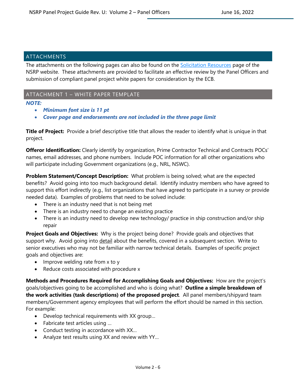#### <span id="page-6-0"></span>ATTACHMENTS

The attachments on the following pages can also be found on the [Solicitation Resources](https://www.nsrp.org/resource-library/) page of the NSRP website. These attachments are provided to facilitate an effective review by the Panel Officers and submission of compliant panel project white papers for consideration by the ECB.

#### <span id="page-6-1"></span>ATTACHMENT 1 – WHITE PAPER TEMPLATE

#### *NOTE:*

- *Minimum font size is 11 pt*
- *Cover page and endorsements are not included in the three page limit*

**Title of Project:** Provide a brief descriptive title that allows the reader to identify what is unique in that project.

**Offeror Identification:** Clearly identify by organization, Prime Contractor Technical and Contracts POCs' names, email addresses, and phone numbers. Include POC information for all other organizations who will participate including Government organizations (e.g., NRL, NSWC).

**Problem Statement/Concept Description:** What problem is being solved; what are the expected benefits? Avoid going into too much background detail. Identify industry members who have agreed to support this effort indirectly (e.g., list organizations that have agreed to participate in a survey or provide needed data). Examples of problems that need to be solved include:

- There is an industry need that is not being met
- There is an industry need to change an existing practice
- There is an industry need to develop new technology/ practice in ship construction and/or ship repair

**Project Goals and Objectives:** Why is the project being done? Provide goals and objectives that support why. Avoid going into detail about the benefits, covered in a subsequent section. Write to senior executives who may not be familiar with narrow technical details. Examples of specific project goals and objectives are:

- Improve welding rate from x to y
- Reduce costs associated with procedure x

**Methods and Procedures Required for Accomplishing Goals and Objectives:** How are the project's goals/objectives going to be accomplished and who is doing what? **Outline a simple breakdown of the work activities (task descriptions) of the proposed project**. All panel members/shipyard team members/Government agency employees that will perform the effort should be named in this section. For example:

- Develop technical requirements with XX group…
- Fabricate test articles using …
- Conduct testing in accordance with XX…
- Analyze test results using XX and review with YY…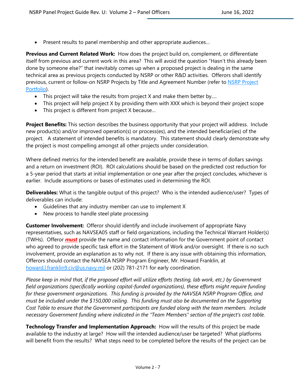Present results to panel membership and other appropriate audiences...

**Previous and Current Related Work:** How does the project build on, complement, or differentiate itself from previous and current work in this area? This will avoid the question "Hasn't this already been done by someone else?" that inevitably comes up when a proposed project is dealing in the same technical area as previous projects conducted by NSRP or other R&D activities. Offerors shall identify previous, current or follow-on NSRP Projects by Title and Agreement Number (refer to NSRP Project [Portfolio\)](https://www.nsrp.org/project-portfolio/).

- This project will take the results from project X and make them better by....
- This project will help project X by providing them with XXX which is beyond their project scope
- This project is different from project X because…

**Project Benefits:** This section describes the business opportunity that your project will address. Include new product(s) and/or improved operation(s) or process(es), and the intended beneficiar(ies) of the project. A statement of intended benefits is mandatory. This statement should clearly demonstrate why the project is most compelling amongst all other projects under consideration.

Where defined metrics for the intended benefit are available, provide these in terms of dollars savings and a return on investment (ROI). ROI calculations should be based on the predicted cost reduction for a 5-year period that starts at initial implementation or one year after the project concludes, whichever is earlier. Include assumptions or bases of estimates used in determining the ROI.

**Deliverables:** What is the tangible output of this project? Who is the intended audience/user? Types of deliverables can include:

- Guidelines that any industry member can use to implement X
- New process to handle steel plate processing

**Customer Involvement:** Offeror should identify and include involvement of appropriate Navy representatives, such as NAVSEA05 staff or field organizations, including the Technical Warrant Holder(s) (TWHs). Offeror *must* provide the name and contact information for the Government point of contact who agreed to provide specific task effort in the Statement of Work and/or oversight. If there is no such involvement, provide an explanation as to why not. If there is any issue with obtaining this information, Offerors should contact the NAVSEA NSRP Program Engineer, Mr. Howard Franklin, at [howard.l.franklin9.civ@us.navy.mil](mailto:howard.l.franklin9.civ@us.navy.mil) or (202) 781-2171 for early coordination.

*Please keep in mind that, if the proposed effort will utilize efforts (testing, lab work, etc.) by Government field organizations (specifically working capital-funded organizations), these efforts might require funding for these government organizations. This funding is provided by the NAVSEA NSRP Program Office, and must be included under the \$150,000 ceiling. This funding must also be documented on the Supporting Cost Table to ensure that the Government participants are funded along with the team members. Include necessary Government funding where indicated in the "Team Members" section of the project's cost table.*

**Technology Transfer and Implementation Approach:** How will the results of this project be made available to the industry at large? How will the intended audience/user be targeted? What platforms will benefit from the results? What steps need to be completed before the results of the project can be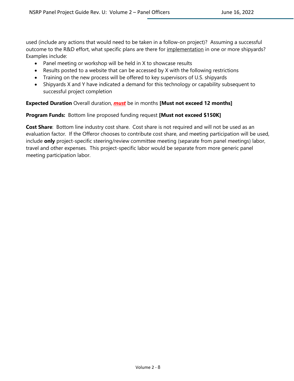used (include any actions that would need to be taken in a follow-on project)? Assuming a successful outcome to the R&D effort, what specific plans are there for implementation in one or more shipyards? Examples include:

- Panel meeting or workshop will be held in X to showcase results
- Results posted to a website that can be accessed by X with the following restrictions
- Training on the new process will be offered to key supervisors of U.S. shipyards
- Shipyards X and Y have indicated a demand for this technology or capability subsequent to successful project completion

#### **Expected Duration** Overall duration, *must* be in months **[Must not exceed 12 months]**

#### **Program Funds:** Bottom line proposed funding request **[Must not exceed \$150K]**

**Cost Share**: Bottom line industry cost share. Cost share is not required and will not be used as an evaluation factor. If the Offeror chooses to contribute cost share, and meeting participation will be used, include **only** project-specific steering/review committee meeting (separate from panel meetings) labor, travel and other expenses. This project-specific labor would be separate from more generic panel meeting participation labor.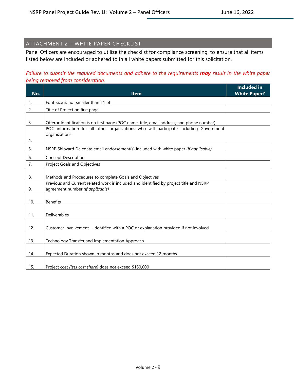# <span id="page-9-0"></span>ATTACHMENT 2 – WHITE PAPER CHECKLIST

Panel Officers are encouraged to utilize the checklist for compliance screening, to ensure that all items listed below are included or adhered to in all white papers submitted for this solicitation.

### *Failure to submit the required documents and adhere to the requirements may result in the white paper being removed from consideration.*

| No.       | <b>Item</b>                                                                                                                                                                         | <b>Included in</b><br><b>White Paper?</b> |
|-----------|-------------------------------------------------------------------------------------------------------------------------------------------------------------------------------------|-------------------------------------------|
| 1.        | Font Size is not smaller than 11 pt                                                                                                                                                 |                                           |
| 2.        | Title of Project on first page                                                                                                                                                      |                                           |
| 3.        | Offeror Identification is on first page (POC name, title, email address, and phone number)<br>POC information for all other organizations who will participate including Government |                                           |
| 4.        | organizations.                                                                                                                                                                      |                                           |
| 5.        | NSRP Shipyard Delegate email endorsement(s) included with white paper (if applicable)                                                                                               |                                           |
| 6.        | <b>Concept Description</b>                                                                                                                                                          |                                           |
| 7.        | <b>Project Goals and Objectives</b>                                                                                                                                                 |                                           |
| 8.        | Methods and Procedures to complete Goals and Objectives                                                                                                                             |                                           |
|           | Previous and Current related work is included and identified by project title and NSRP<br>agreement number (if applicable)                                                          |                                           |
| 9.<br>10. | <b>Benefits</b>                                                                                                                                                                     |                                           |
| 11.       | Deliverables                                                                                                                                                                        |                                           |
| 12.       | Customer Involvement - Identified with a POC or explanation provided if not involved                                                                                                |                                           |
| 13.       | Technology Transfer and Implementation Approach                                                                                                                                     |                                           |
| 14.       | Expected Duration shown in months and does not exceed 12 months                                                                                                                     |                                           |
| 15.       | Project cost (less cost share) does not exceed \$150,000                                                                                                                            |                                           |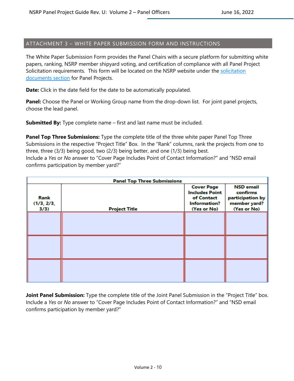#### <span id="page-10-0"></span>ATTACHMENT 3 – WHITE PAPER SUBMISSION FORM AND INSTRUCTIONS

The White Paper Submission Form provides the Panel Chairs with a secure platform for submitting white papers, ranking, NSRP member shipyard voting, and certification of compliance with all Panel Project Solicitation requirements. This form will be located on the NSRP website under the solicitation [documents section](https://www.nsrp.org/resource-library/) for Panel Projects.

**Date:** Click in the date field for the date to be automatically populated.

**Panel:** Choose the Panel or Working Group name from the drop-down list. For joint panel projects, choose the lead panel.

**Submitted By:** Type complete name – first and last name must be included.

**Panel Top Three Submissions:** Type the complete title of the three white paper Panel Top Three Submissions in the respective "Project Title" Box. In the "Rank" columns, rank the projects from one to three, three (3/3) being good, two (2/3) being better, and one (1/3) being best. Include a *Yes* or *No* answer to "Cover Page Includes Point of Contact Information?" and "NSD email confirms participation by member yard?"

| <b>Panel Top Three Submissions</b> |                      |                                                                                         |                                                                                 |  |  |
|------------------------------------|----------------------|-----------------------------------------------------------------------------------------|---------------------------------------------------------------------------------|--|--|
| Rank<br>(1/3, 2/3,<br>3/3)         | <b>Project Title</b> | <b>Cover Page</b><br><b>Includes Point</b><br>of Contact<br>Information?<br>(Yes or No) | <b>NSD</b> email<br>confirms<br>participation by<br>member yard?<br>(Yes or No) |  |  |
|                                    |                      |                                                                                         |                                                                                 |  |  |
|                                    |                      |                                                                                         |                                                                                 |  |  |
|                                    |                      |                                                                                         |                                                                                 |  |  |

**Joint Panel Submission:** Type the complete title of the Joint Panel Submission in the "Project Title" box. Include a *Yes* or *No* answer to "Cover Page Includes Point of Contact Information?" and "NSD email confirms participation by member yard?"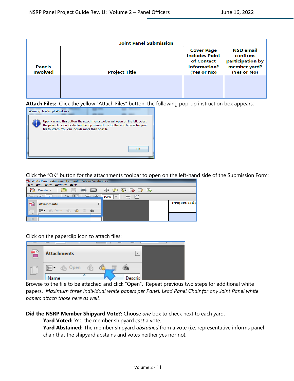| <b>Joint Panel Submission</b>    |                      |                                                                                                |                                                                                 |  |  |  |
|----------------------------------|----------------------|------------------------------------------------------------------------------------------------|---------------------------------------------------------------------------------|--|--|--|
| <b>Panels</b><br><b>Involved</b> | <b>Project Title</b> | <b>Cover Page</b><br><b>Includes Point</b><br>of Contact<br><b>Information?</b><br>(Yes or No) | <b>NSD email</b><br>confirms<br>participation by<br>member yard?<br>(Yes or No) |  |  |  |
|                                  |                      |                                                                                                |                                                                                 |  |  |  |

**Attach Files:** Click the yellow "Attach Files" button, the following pop-up instruction box appears:



Click the "OK" button for the attachments toolbar to open on the left-hand side of the Submission Form:

| White Paper Submission Form.pdf - Adobe Acrobat Pro |                                                                                                    |                                                                         |                      |  |  |  |  |
|-----------------------------------------------------|----------------------------------------------------------------------------------------------------|-------------------------------------------------------------------------|----------------------|--|--|--|--|
| File                                                | Window<br>Edit View<br>$He$ lp                                                                     |                                                                         |                      |  |  |  |  |
|                                                     | <b>PESE</b><br>Create $\sim$                                                                       | $\Leftrightarrow$ $\ominus$ $\neg$ $\triangleright$ $\ominus$ $\ominus$ |                      |  |  |  |  |
|                                                     | cm <sub>2</sub><br>T <sub>h</sub>                                                                  | $\bigcirc$<br>梅<br>100%<br>$\overline{\phantom{a}}$                     |                      |  |  |  |  |
|                                                     | <b>Attachments</b>                                                                                 | $\overline{\phantom{a}}$                                                | <b>Project Title</b> |  |  |  |  |
|                                                     | <b>Copen Co Co m Go</b><br>$\overline{\mathbb{B}}$ $\overline{\mathbb{B}}$ $\overline{\mathbb{B}}$ |                                                                         |                      |  |  |  |  |
|                                                     |                                                                                                    |                                                                         |                      |  |  |  |  |

Click on the paperclip icon to attach files:

| <b>Attachments</b>                                                         |  |
|----------------------------------------------------------------------------|--|
| $\overline{\text{B}}$ $\overline{\bullet}$ $\overline{\text{C}}$ Open<br>G |  |
| <b>Name</b>                                                                |  |

Browse to the file to be attached and click "Open". Repeat previous two steps for additional white papers. *Maximum three individual white papers per Panel. Lead Panel Chair for any Joint Panel white papers attach those here as well.*

**Did the NSRP Member Shipyard Vote?:** Choose *one* box to check next to each yard.

**Yard Voted:** *Yes*, the member shipyard *cast* a vote.

**Yard Abstained:** The member shipyard *abstained* from a vote (i.e. representative informs panel chair that the shipyard abstains and votes neither yes nor no).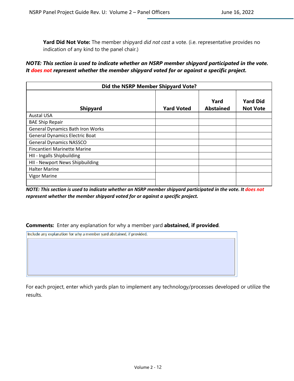**Yard Did Not Vote:** The member shipyard *did not cast* a vote. (i.e. representative provides no indication of any kind to the panel chair.)

#### *NOTE: This section is used to indicate whether an NSRP member shipyard participated in the vote. It does not represent whether the member shipyard voted for or against a specific project.*

| Did the NSRP Member Shipyard Vote?      |                   |                          |                                    |  |  |
|-----------------------------------------|-------------------|--------------------------|------------------------------------|--|--|
| <b>Shipyard</b>                         | <b>Yard Voted</b> | Yard<br><b>Abstained</b> | <b>Yard Did</b><br><b>Not Vote</b> |  |  |
| <b>Austal USA</b>                       |                   |                          |                                    |  |  |
| <b>BAE Ship Repair</b>                  |                   |                          |                                    |  |  |
| <b>General Dynamics Bath Iron Works</b> |                   |                          |                                    |  |  |
| <b>General Dynamics Electric Boat</b>   |                   |                          |                                    |  |  |
| <b>General Dynamics NASSCO</b>          |                   |                          |                                    |  |  |
| <b>Fincantieri Marinette Marine</b>     |                   |                          |                                    |  |  |
| HII - Ingalls Shipbuilding              |                   |                          |                                    |  |  |
| HII - Newport News Shipbuilding         |                   |                          |                                    |  |  |
| <b>Halter Marine</b>                    |                   |                          |                                    |  |  |
| <b>Vigor Marine</b>                     |                   |                          |                                    |  |  |

*NOTE: This section is used to indicate whether an NSRP member shipyard participated in the vote. It does not represent whether the member shipyard voted for or against a specific project.* 

#### **Comments:** Enter any explanation for why a member yard **abstained, if provided**.

Include any explanation for why a member yard abstained, if provided.

For each project, enter which yards plan to implement any technology/processes developed or utilize the results.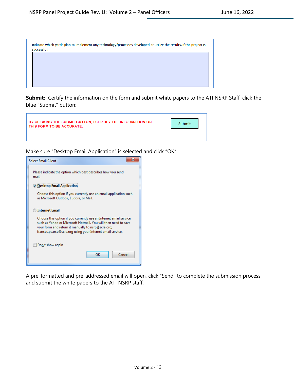| Indicate which yards plan to implement any technology/processes developed or utilize the results, if the project is<br>successful. |
|------------------------------------------------------------------------------------------------------------------------------------|
|                                                                                                                                    |
|                                                                                                                                    |
|                                                                                                                                    |

**Submit:** Certify the information on the form and submit white papers to the ATI NSRP Staff, click the blue "Submit" button:



Make sure "Desktop Email Application" is selected and click "OK".



A pre-formatted and pre-addressed email will open, click "Send" to complete the submission process and submit the white papers to the ATI NSRP staff.